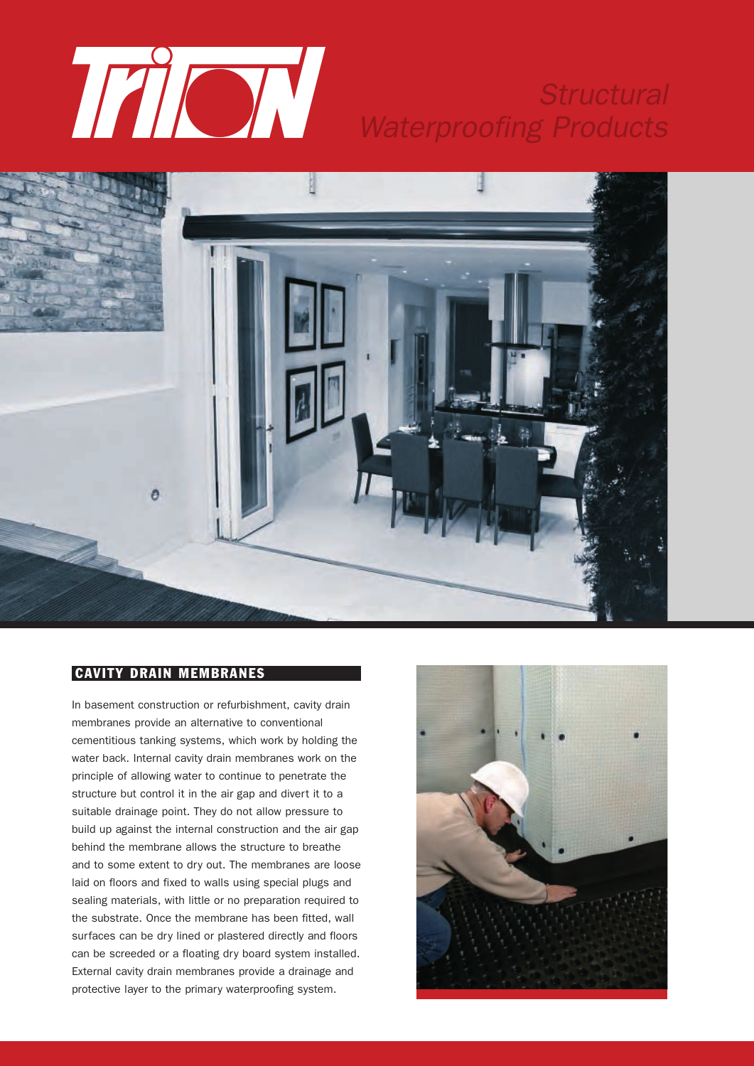

# *Structural Waterproofing Products*



## **CAVITY DRAIN MEMBRANES**

In basement construction or refurbishment, cavity drain membranes provide an alternative to conventional cementitious tanking systems, which work by holding the water back. Internal cavity drain membranes work on the principle of allowing water to continue to penetrate the structure but control it in the air gap and divert it to a suitable drainage point. They do not allow pressure to build up against the internal construction and the air gap behind the membrane allows the structure to breathe and to some extent to dry out. The membranes are loose laid on floors and fixed to walls using special plugs and sealing materials, with little or no preparation required to the substrate. Once the membrane has been fitted, wall surfaces can be dry lined or plastered directly and floors can be screeded or a floating dry board system installed. External cavity drain membranes provide a drainage and protective layer to the primary waterproofing system.

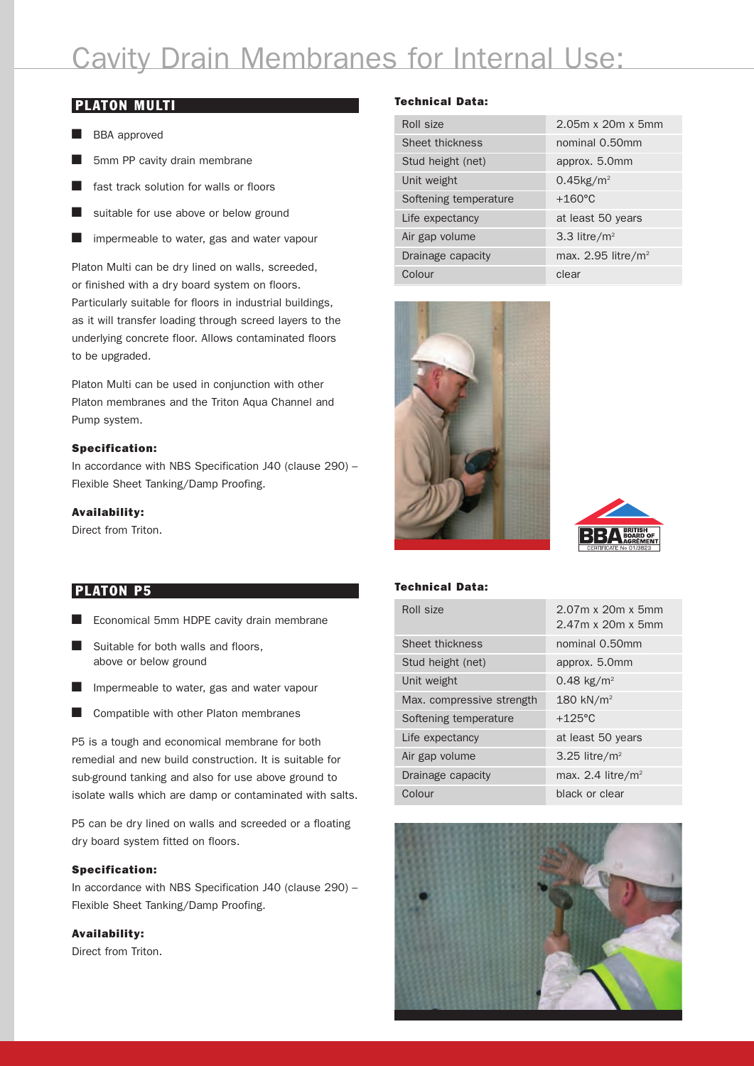# Cavity Drain Membranes for Internal Use:

### **PLATON MULTI**

- BBA approved
- $\blacksquare$  5mm PP cavity drain membrane
- fast track solution for walls or floors
- $\blacksquare$  suitable for use above or below ground
- $\blacksquare$  impermeable to water, gas and water vapour

Platon Multi can be dry lined on walls, screeded, or finished with a dry board system on floors. Particularly suitable for floors in industrial buildings, as it will transfer loading through screed layers to the underlying concrete floor. Allows contaminated floors to be upgraded.

Platon Multi can be used in conjunction with other Platon membranes and the Triton Aqua Channel and Pump system.

### **Specification:**

In accordance with NBS Specification J40 (clause 290) – Flexible Sheet Tanking/Damp Proofing.

### **Availability:**

Direct from Triton.

### **PLATON P5**

- $\blacksquare$  Economical 5mm HDPE cavity drain membrane
- $\blacksquare$  Suitable for both walls and floors, above or below ground
- $\blacksquare$  Impermeable to water, gas and water vapour
- $\blacksquare$  Compatible with other Platon membranes

P5 is a tough and economical membrane for both remedial and new build construction. It is suitable for sub-ground tanking and also for use above ground to isolate walls which are damp or contaminated with salts.

P5 can be dry lined on walls and screeded or a floating dry board system fitted on floors.

### **Specification:**

In accordance with NBS Specification J40 (clause 290) – Flexible Sheet Tanking/Damp Proofing.

### **Availability:**

Direct from Triton.

### **Technical Data:**

| Roll size             | $2.05m \times 20m \times 5mm$ |
|-----------------------|-------------------------------|
| Sheet thickness       | nominal 0.50mm                |
| Stud height (net)     | approx. 5.0mm                 |
| Unit weight           | $0.45$ kg/m <sup>2</sup>      |
| Softening temperature | $+160^{\circ}$ C              |
| Life expectancy       | at least 50 years             |
| Air gap volume        | 3.3 litre/ $m2$               |
| Drainage capacity     | max. 2.95 litre/ $m^2$        |
| Colour                | clear                         |





#### **Technical Data:**

| Roll size                 | $2.07m \times 20m \times 5mm$<br>$2.47m \times 20m \times 5mm$ |
|---------------------------|----------------------------------------------------------------|
| Sheet thickness           | nominal 0.50mm                                                 |
| Stud height (net)         | approx. 5.0mm                                                  |
| Unit weight               | 0.48 kg/m <sup>2</sup>                                         |
| Max. compressive strength | 180 kN/ $m2$                                                   |
| Softening temperature     | $+125^{\circ}$ C                                               |
| Life expectancy           | at least 50 years                                              |
| Air gap volume            | 3.25 litre/ $m2$                                               |
| Drainage capacity         | max. 2.4 litre/ $m2$                                           |
| Colour                    | black or clear                                                 |

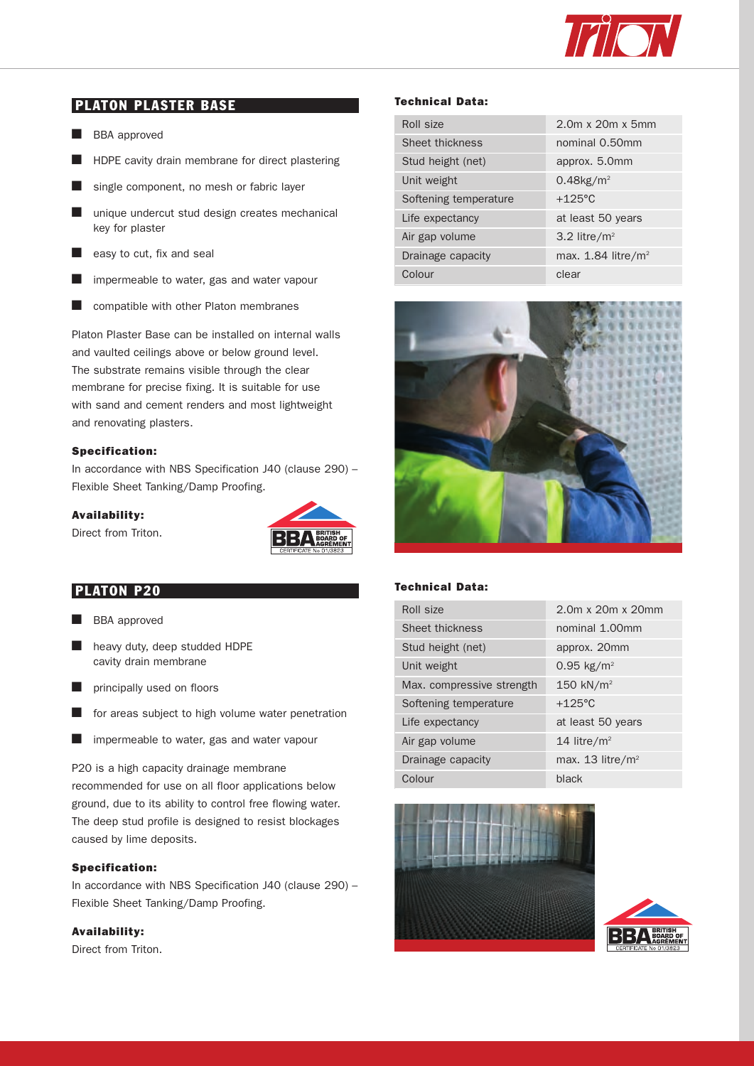

# **PLATON PLASTER BASE**

- **n** BBA approved
- $\blacksquare$  HDPE cavity drain membrane for direct plastering
- $\blacksquare$  single component, no mesh or fabric layer
- $\blacksquare$  unique undercut stud design creates mechanical key for plaster
- $\blacksquare$  easy to cut, fix and seal
- $\blacksquare$  impermeable to water, gas and water vapour
- $\blacksquare$  compatible with other Platon membranes

Platon Plaster Base can be installed on internal walls and vaulted ceilings above or below ground level. The substrate remains visible through the clear membrane for precise fixing. It is suitable for use with sand and cement renders and most lightweight and renovating plasters.

### **Specification:**

In accordance with NBS Specification J40 (clause 290) – Flexible Sheet Tanking/Damp Proofing.

#### **Availability:**

Direct from Triton.



### **PLATON P20**

- **BBA** approved
- $\blacksquare$  heavy duty, deep studded HDPE cavity drain membrane
- $\blacksquare$  principally used on floors
- $\blacksquare$  for areas subject to high volume water penetration
- $\blacksquare$  impermeable to water, gas and water vapour

P20 is a high capacity drainage membrane recommended for use on all floor applications below ground, due to its ability to control free flowing water. The deep stud profile is designed to resist blockages caused by lime deposits.

### **Specification:**

In accordance with NBS Specification J40 (clause 290) – Flexible Sheet Tanking/Damp Proofing.

### **Availability:**

Direct from Triton.

### **Technical Data:**

| Roll size             | $2.0m \times 20m \times 5mm$     |
|-----------------------|----------------------------------|
| Sheet thickness       | nominal 0.50mm                   |
| Stud height (net)     | approx. 5.0mm                    |
| Unit weight           | $0.48$ kg/m <sup>2</sup>         |
| Softening temperature | $+125^{\circ}$ C                 |
| Life expectancy       | at least 50 years                |
| Air gap volume        | 3.2 litre/ $m2$                  |
| Drainage capacity     | max. $1.84$ litre/m <sup>2</sup> |
| Colour                | clear                            |



### **Technical Data:**

| Roll size                 | 2.0m x 20m x 20mm              |
|---------------------------|--------------------------------|
| Sheet thickness           | nominal 1.00mm                 |
| Stud height (net)         | approx. 20mm                   |
| Unit weight               | $0.95$ kg/m <sup>2</sup>       |
| Max. compressive strength | 150 kN/m <sup>2</sup>          |
| Softening temperature     | $+125^{\circ}$ C               |
| Life expectancy           | at least 50 years              |
| Air gap volume            | 14 litre/ $m2$                 |
| Drainage capacity         | max. $13$ litre/m <sup>2</sup> |
| Colour                    | black                          |



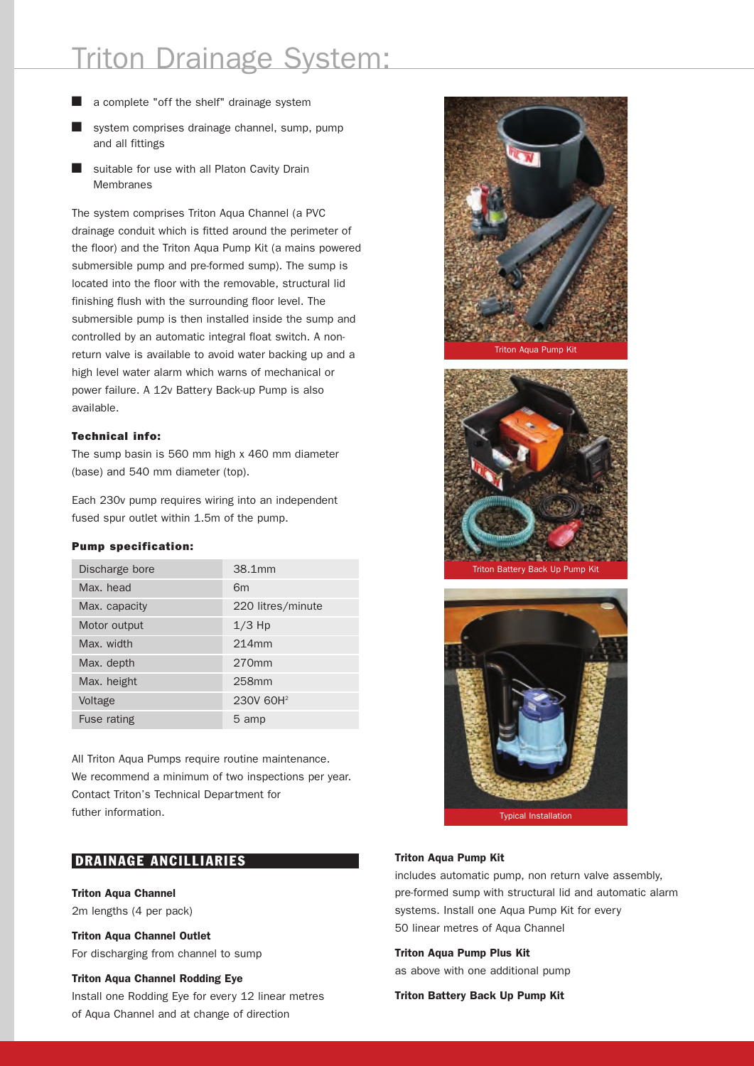# Triton Drainage System:

- a complete "off the shelf" drainage system
- system comprises drainage channel, sump, pump and all fittings
- $\blacksquare$  suitable for use with all Platon Cavity Drain **Membranes**

The system comprises Triton Aqua Channel (a PVC drainage conduit which is fitted around the perimeter of the floor) and the Triton Aqua Pump Kit (a mains powered submersible pump and pre-formed sump). The sump is located into the floor with the removable, structural lid finishing flush with the surrounding floor level. The submersible pump is then installed inside the sump and controlled by an automatic integral float switch. A nonreturn valve is available to avoid water backing up and a high level water alarm which warns of mechanical or power failure. A 12v Battery Back-up Pump is also available.

### **Technical info:**

The sump basin is 560 mm high x 460 mm diameter (base) and 540 mm diameter (top).

Each 230v pump requires wiring into an independent fused spur outlet within 1.5m of the pump.

### **Pump specification:**

| Discharge bore | 38.1 mm               |
|----------------|-----------------------|
| Max. head      | 6 <sub>m</sub>        |
| Max. capacity  | 220 litres/minute     |
| Motor output   | $1/3$ Hp              |
| Max. width     | 214mm                 |
| Max. depth     | $270$ mm              |
| Max. height    | 258mm                 |
| Voltage        | 230V 60H <sup>2</sup> |
| Fuse rating    | 5 amp                 |

All Triton Aqua Pumps require routine maintenance. We recommend a minimum of two inspections per year. Contact Triton's Technical Department for futher information.

# **DRAINAGE ANCILLIARIES**

### **Triton Aqua Channel**

2m lengths (4 per pack)

**Triton Aqua Channel Outlet** For discharging from channel to sump

### **Triton Aqua Channel Rodding Eye**

Install one Rodding Eye for every 12 linear metres of Aqua Channel and at change of direction







### **Triton Aqua Pump Kit**

includes automatic pump, non return valve assembly, pre-formed sump with structural lid and automatic alarm systems. Install one Aqua Pump Kit for every 50 linear metres of Aqua Channel

### **Triton Aqua Pump Plus Kit**

as above with one additional pump

**Triton Battery Back Up Pump Kit**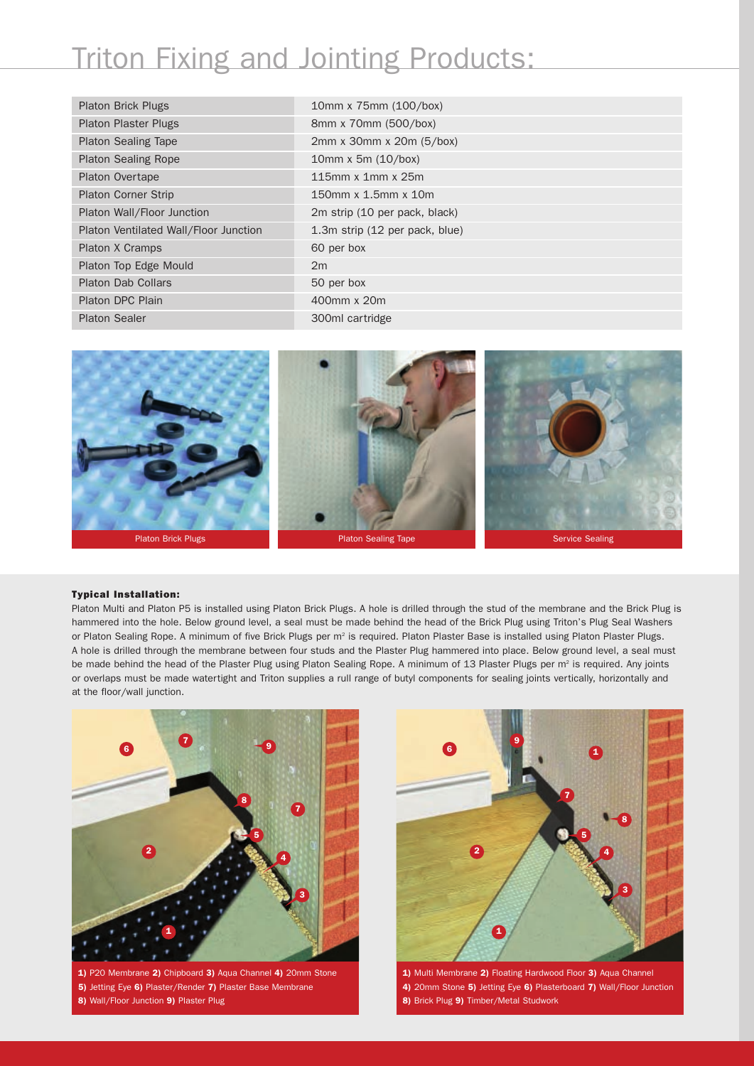# Triton Fixing and Jointing Products:

| <b>Platon Brick Plugs</b>             | 10mm x 75mm (100/box)                |
|---------------------------------------|--------------------------------------|
| <b>Platon Plaster Plugs</b>           | 8mm x 70mm (500/box)                 |
| <b>Platon Sealing Tape</b>            | $2mm \times 30mm \times 20m (5/box)$ |
| <b>Platon Sealing Rope</b>            | 10mm x 5m (10/box)                   |
| <b>Platon Overtape</b>                | 115mm x 1mm x 25m                    |
| <b>Platon Corner Strip</b>            | 150mm x 1.5mm x 10m                  |
| Platon Wall/Floor Junction            | 2m strip (10 per pack, black)        |
| Platon Ventilated Wall/Floor Junction | 1.3m strip (12 per pack, blue)       |
| Platon X Cramps                       | 60 per box                           |
| Platon Top Edge Mould                 | 2m                                   |
| <b>Platon Dab Collars</b>             | 50 per box                           |
| Platon DPC Plain                      | 400mm x 20m                          |
| <b>Platon Sealer</b>                  | 300ml cartridge                      |



#### **Typical Installation:**

Platon Multi and Platon P5 is installed using Platon Brick Plugs. A hole is drilled through the stud of the membrane and the Brick Plug is hammered into the hole. Below ground level, a seal must be made behind the head of the Brick Plug using Triton's Plug Seal Washers or Platon Sealing Rope. A minimum of five Brick Plugs per m<sup>2</sup> is required. Platon Plaster Base is installed using Platon Plaster Plugs. A hole is drilled through the membrane between four studs and the Plaster Plug hammered into place. Below ground level, a seal must be made behind the head of the Plaster Plug using Platon Sealing Rope. A minimum of 13 Plaster Plugs per m<sup>2</sup> is required. Any joints or overlaps must be made watertight and Triton supplies a rull range of butyl components for sealing joints vertically, horizontally and at the floor/wall junction.



**1)** P20 Membrane **2)** Chipboard **3)** Aqua Channel **4)** 20mm Stone **5)** Jetting Eye **6)** Plaster/Render **7)** Plaster Base Membrane **8)** Wall/Floor Junction **9)** Plaster Plug



**1)** Multi Membrane **2)** Floating Hardwood Floor **3)** Aqua Channel **4)** 20mm Stone **5)** Jetting Eye **6)** Plasterboard **7)** Wall/Floor Junction **8)** Brick Plug **9)** Timber/Metal Studwork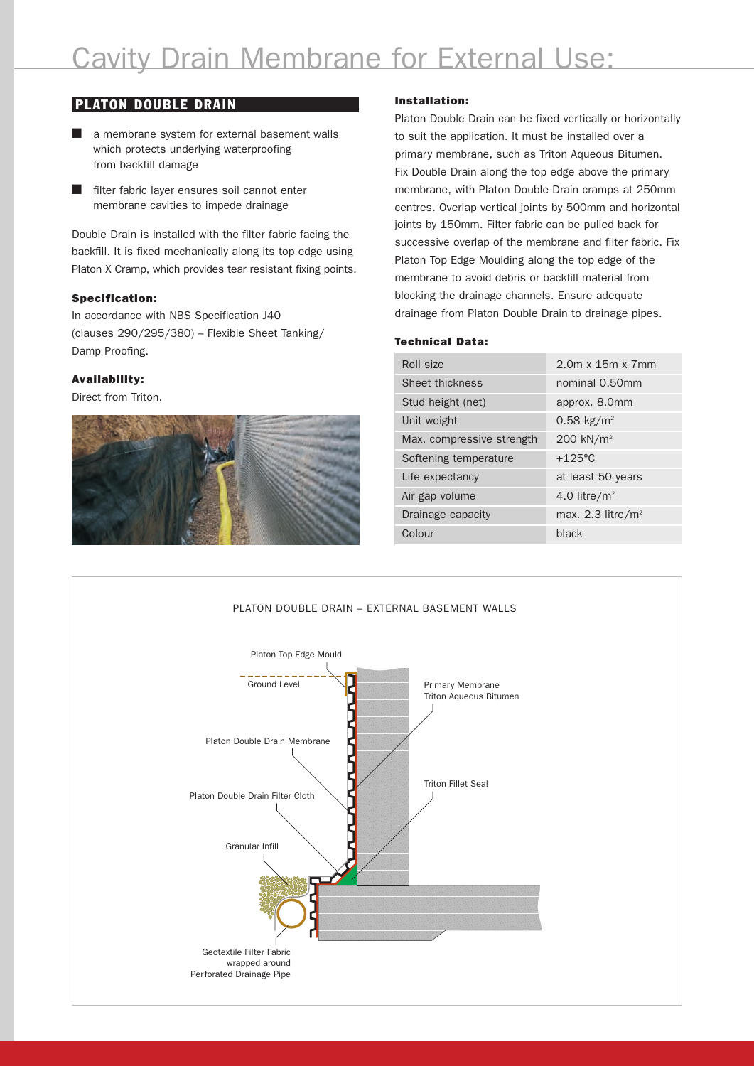# **PLATON DOUBLE DRAIN**

- $\blacksquare$  a membrane system for external basement walls which protects underlying waterproofing from backfill damage
- $\blacksquare$  filter fabric layer ensures soil cannot enter membrane cavities to impede drainage

Double Drain is installed with the filter fabric facing the backfill. It is fixed mechanically along its top edge using Platon X Cramp, which provides tear resistant fixing points.

### **Specification:**

In accordance with NBS Specification J40 (clauses 290/295/380) – Flexible Sheet Tanking/ Damp Proofing.

### **Availability:**

Direct from Triton.



### **Installation:**

Platon Double Drain can be fixed vertically or horizontally to suit the application. It must be installed over a primary membrane, such as Triton Aqueous Bitumen. Fix Double Drain along the top edge above the primary membrane, with Platon Double Drain cramps at 250mm centres. Overlap vertical joints by 500mm and horizontal joints by 150mm. Filter fabric can be pulled back for successive overlap of the membrane and filter fabric. Fix Platon Top Edge Moulding along the top edge of the membrane to avoid debris or backfill material from blocking the drainage channels. Ensure adequate drainage from Platon Double Drain to drainage pipes.

### **Technical Data:**

| Roll size                 | $2.0m \times 15m \times 7mm$ |
|---------------------------|------------------------------|
| Sheet thickness           | nominal 0.50mm               |
| Stud height (net)         | approx. 8.0mm                |
| Unit weight               | 0.58 kg/m <sup>2</sup>       |
| Max. compressive strength | 200 kN/m <sup>2</sup>        |
| Softening temperature     | $+125$ °C                    |
| Life expectancy           | at least 50 years            |
| Air gap volume            | 4.0 litre/ $m2$              |
| Drainage capacity         | max. 2.3 litre/ $m^2$        |
| Colour                    | black                        |

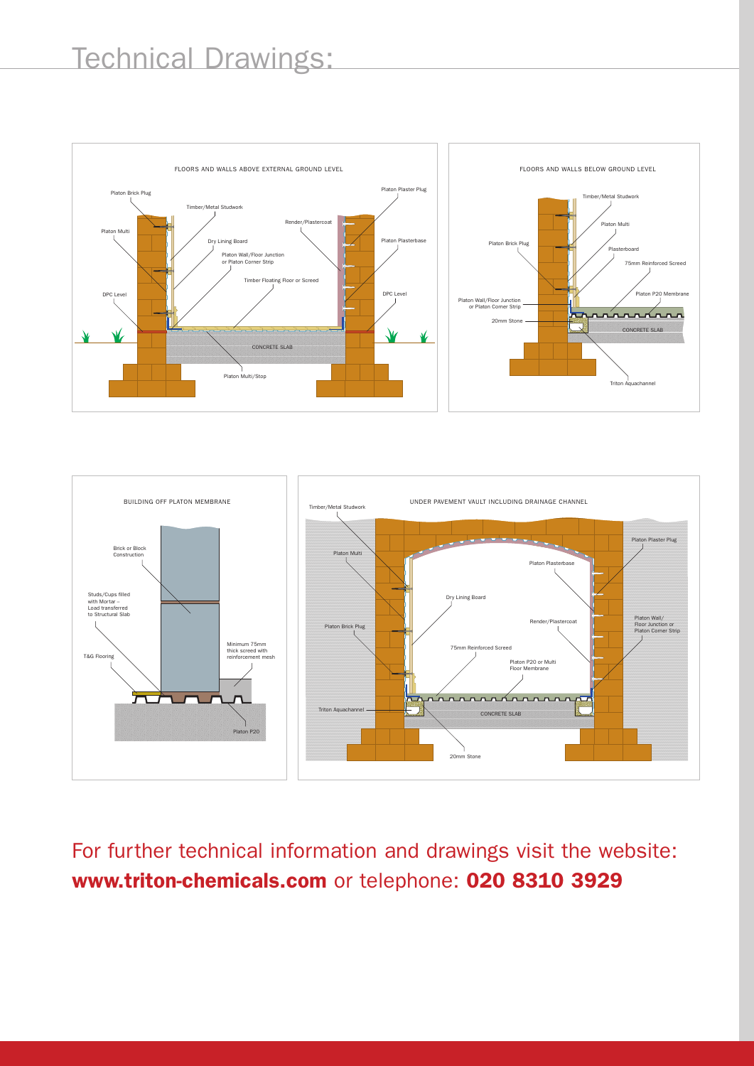



For further technical information and drawings visit the website: **www.triton-chemicals.com** or telephone: **020 8310 3929**